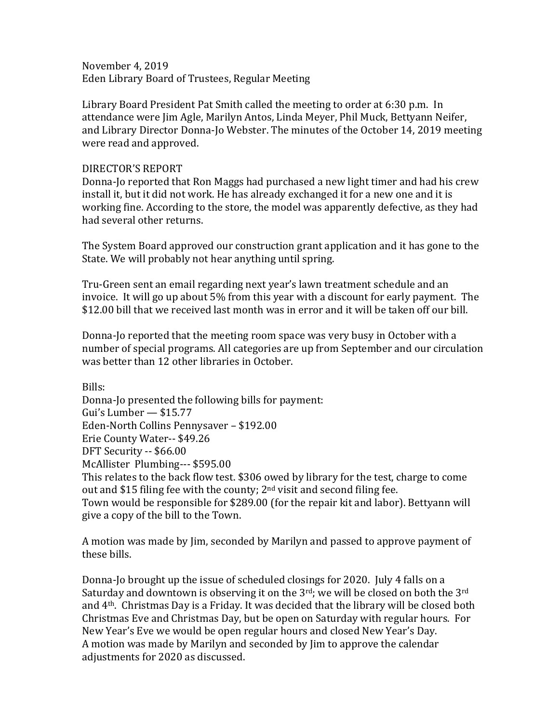November 4, 2019 Eden Library Board of Trustees, Regular Meeting

Library Board President Pat Smith called the meeting to order at 6:30 p.m. In attendance were Jim Agle, Marilyn Antos, Linda Meyer, Phil Muck, Bettyann Neifer, and Library Director Donna-Jo Webster. The minutes of the October 14, 2019 meeting were read and approved.

## DIRECTOR'S REPORT

Donna-Jo reported that Ron Maggs had purchased a new light timer and had his crew install it, but it did not work. He has already exchanged it for a new one and it is working fine. According to the store, the model was apparently defective, as they had had several other returns.

The System Board approved our construction grant application and it has gone to the State. We will probably not hear anything until spring.

Tru-Green sent an email regarding next year's lawn treatment schedule and an invoice. It will go up about 5% from this year with a discount for early payment. The \$12.00 bill that we received last month was in error and it will be taken off our bill.

Donna-Jo reported that the meeting room space was very busy in October with a number of special programs. All categories are up from September and our circulation was better than 12 other libraries in October.

Bills: Donna-Jo presented the following bills for payment: Gui's Lumber — \$15.77 Eden-North Collins Pennysaver – \$192.00 Erie County Water-- \$49.26 DFT Security -- \$66.00 McAllister Plumbing--- \$595.00 This relates to the back flow test. \$306 owed by library for the test, charge to come out and \$15 filing fee with the county;  $2<sup>nd</sup>$  visit and second filing fee. Town would be responsible for \$289.00 (for the repair kit and labor). Bettyann will give a copy of the bill to the Town.

A motion was made by Jim, seconded by Marilyn and passed to approve payment of these bills.

Donna-Jo brought up the issue of scheduled closings for 2020. July 4 falls on a Saturday and downtown is observing it on the  $3<sup>rd</sup>$ ; we will be closed on both the  $3<sup>rd</sup>$ and 4th. Christmas Day is a Friday. It was decided that the library will be closed both Christmas Eve and Christmas Day, but be open on Saturday with regular hours. For New Year's Eve we would be open regular hours and closed New Year's Day. A motion was made by Marilyn and seconded by Jim to approve the calendar adjustments for 2020 as discussed.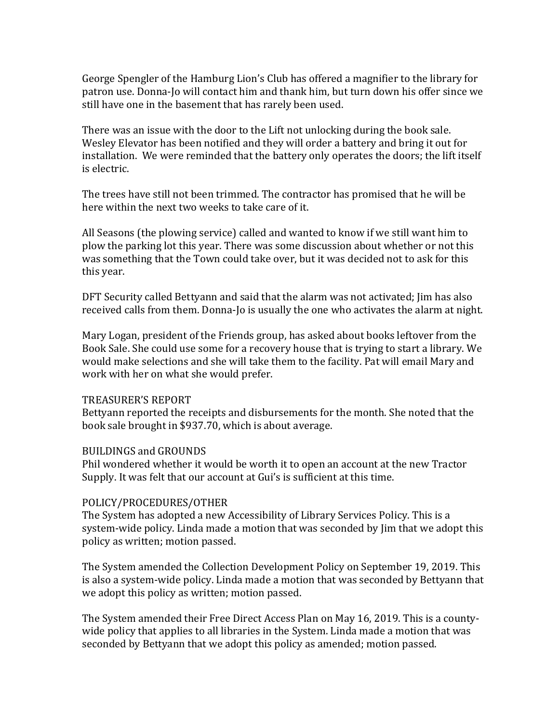George Spengler of the Hamburg Lion's Club has offered a magnifier to the library for patron use. Donna-Jo will contact him and thank him, but turn down his offer since we still have one in the basement that has rarely been used.

There was an issue with the door to the Lift not unlocking during the book sale. Wesley Elevator has been notified and they will order a battery and bring it out for installation. We were reminded that the battery only operates the doors; the lift itself is electric.

The trees have still not been trimmed. The contractor has promised that he will be here within the next two weeks to take care of it.

All Seasons (the plowing service) called and wanted to know if we still want him to plow the parking lot this year. There was some discussion about whether or not this was something that the Town could take over, but it was decided not to ask for this this year.

DFT Security called Bettyann and said that the alarm was not activated; Jim has also received calls from them. Donna-Jo is usually the one who activates the alarm at night.

Mary Logan, president of the Friends group, has asked about books leftover from the Book Sale. She could use some for a recovery house that is trying to start a library. We would make selections and she will take them to the facility. Pat will email Mary and work with her on what she would prefer.

## TREASURER'S REPORT

Bettyann reported the receipts and disbursements for the month. She noted that the book sale brought in \$937.70, which is about average.

## BUILDINGS and GROUNDS

Phil wondered whether it would be worth it to open an account at the new Tractor Supply. It was felt that our account at Gui's is sufficient at this time.

## POLICY/PROCEDURES/OTHER

The System has adopted a new Accessibility of Library Services Policy. This is a system-wide policy. Linda made a motion that was seconded by Jim that we adopt this policy as written; motion passed.

The System amended the Collection Development Policy on September 19, 2019. This is also a system-wide policy. Linda made a motion that was seconded by Bettyann that we adopt this policy as written; motion passed.

The System amended their Free Direct Access Plan on May 16, 2019. This is a countywide policy that applies to all libraries in the System. Linda made a motion that was seconded by Bettyann that we adopt this policy as amended; motion passed.